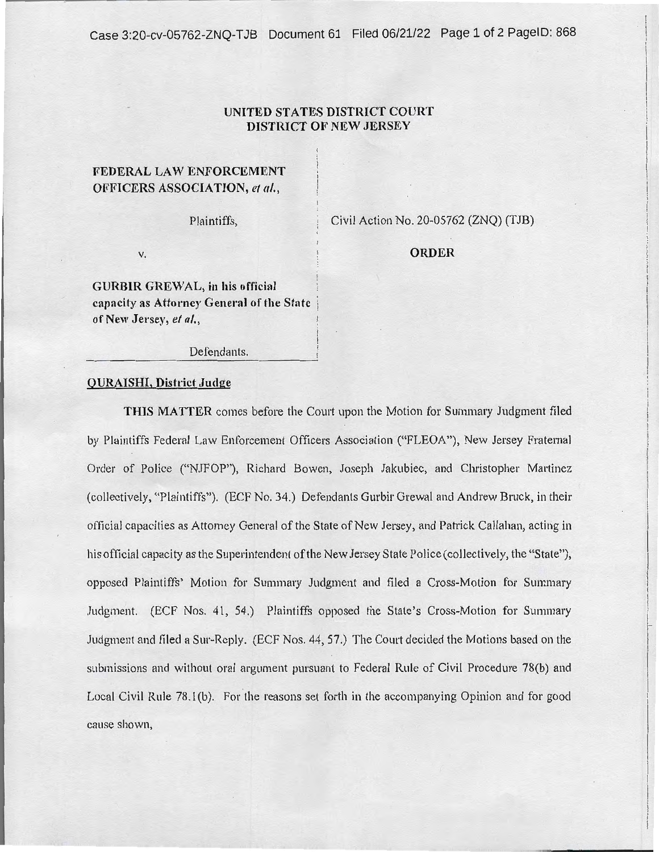Case 3:20-cv-05762-ZNQ-TJB Document 61 Filed 06/21/22 Page 1 of 2 PagelD: 868

## **UNITED STATES DISTRICT COURT DISTIUCT OF NEW JERSEY**

## **FEDERAL LAW ENFORCEMENT OFFICERS ASSOCIATION,** *et al.,*

Plaintiffs,

Civil Action No. 20-05762 (ZNQ) (TJB)

v,

**ORDER** 

**GURBIR GREWAL, in his official capacity as Attomey General of the State** i **of New Jersey,** *et al.,* 

Defendants.

## **QURAISHI, District Judge**

**THIS MATTER** comes before the Court upon the Motion for Sununary Judgment filed by Plaintiffs Federal Law Enforcement Officers Association ("FLEOA"), New Jersey Fraternal Order of Police ("NJFOP"), Richard Bowen, Joseph Jakubiec, and Christopher Martinez (collectively, "Plaintiffs"). (ECF No. 34.) Defendants Gurbir Grewal and Andrew Bruck, in their official capacities as Attorney General of the State of New Jersey, and Patrick Callahan, acting in his official capacity as the Superintendent of the New Jersey State Police (collectively, the "State"), opposed Plaintiffs' Motion for Summary Judgment and filed a Cross-Motion for Summary Judgment. (ECF Nos. 41, 54.) Plaintiffs opposed the State's Cross-Motion for Summary Judgment and filed a Sur-Reply. (ECF Nos. 44, 57.) The Court decided the Motions based on the submissions and without oral argument pursuant to Federal Rule of Civil Procedure 78(b) and Local Civil Rule 78.1(b). For the reasons set forth in the accompanying Opinion and for good cause shown,